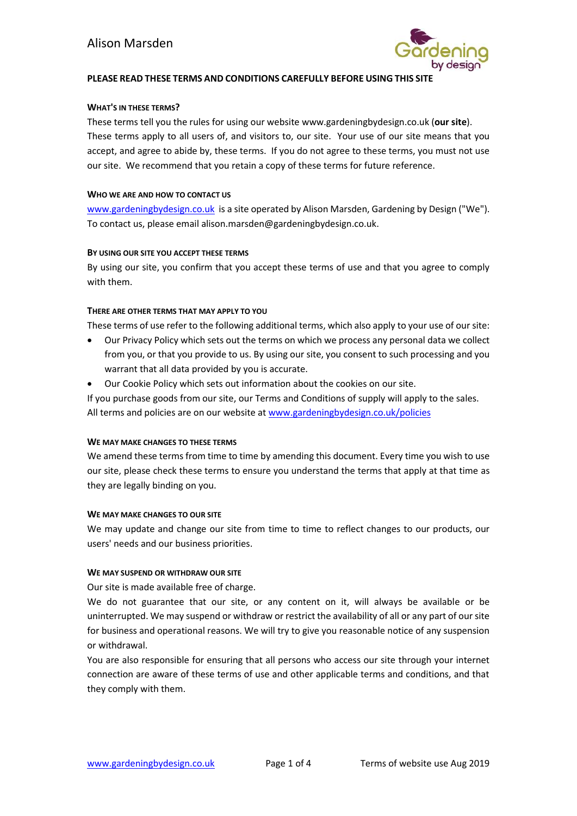

# **PLEASE READ THESE TERMS AND CONDITIONS CAREFULLY BEFORE USING THIS SITE**

#### **WHAT'S IN THESE TERMS?**

These terms tell you the rules for using our website www.gardeningbydesign.co.uk (**our site**). These terms apply to all users of, and visitors to, our site. Your use of our site means that you accept, and agree to abide by, these terms. If you do not agree to these terms, you must not use our site. We recommend that you retain a copy of these terms for future reference.

#### **WHO WE ARE AND HOW TO CONTACT US**

[www.gardeningbydesign.co.uk](http://www.gardeningbydesign.co.uk/) is a site operated by Alison Marsden, Gardening by Design ("We"). To contact us, please email alison.marsden@gardeningbydesign.co.uk.

#### **BY USING OUR SITE YOU ACCEPT THESE TERMS**

By using our site, you confirm that you accept these terms of use and that you agree to comply with them.

#### **THERE ARE OTHER TERMS THAT MAY APPLY TO YOU**

These terms of use refer to the following additional terms, which also apply to your use of our site:

- Our Privacy Policy which sets out the terms on which we process any personal data we collect from you, or that you provide to us. By using our site, you consent to such processing and you warrant that all data provided by you is accurate.
- Our Cookie Policy which sets out information about the cookies on our site.

If you purchase goods from our site, our Terms and Conditions of supply will apply to the sales. All terms and policies are on our website at [www.gardeningbydesign.co.uk/policies](http://www.gardeningbydesign.co.uk/policies)

#### **WE MAY MAKE CHANGES TO THESE TERMS**

We amend these terms from time to time by amending this document. Every time you wish to use our site, please check these terms to ensure you understand the terms that apply at that time as they are legally binding on you.

#### **WE MAY MAKE CHANGES TO OUR SITE**

We may update and change our site from time to time to reflect changes to our products, our users' needs and our business priorities.

#### **WE MAY SUSPEND OR WITHDRAW OUR SITE**

Our site is made available free of charge.

We do not guarantee that our site, or any content on it, will always be available or be uninterrupted. We may suspend or withdraw or restrict the availability of all or any part of our site for business and operational reasons. We will try to give you reasonable notice of any suspension or withdrawal.

You are also responsible for ensuring that all persons who access our site through your internet connection are aware of these terms of use and other applicable terms and conditions, and that they comply with them.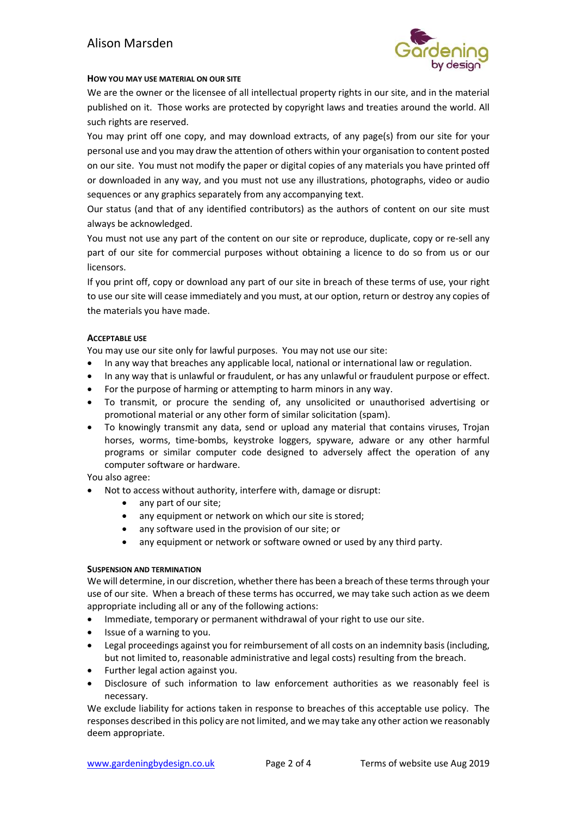# Alison Marsden



# **HOW YOU MAY USE MATERIAL ON OUR SITE**

We are the owner or the licensee of all intellectual property rights in our site, and in the material published on it. Those works are protected by copyright laws and treaties around the world. All such rights are reserved.

You may print off one copy, and may download extracts, of any page(s) from our site for your personal use and you may draw the attention of others within your organisation to content posted on our site. You must not modify the paper or digital copies of any materials you have printed off or downloaded in any way, and you must not use any illustrations, photographs, video or audio sequences or any graphics separately from any accompanying text.

Our status (and that of any identified contributors) as the authors of content on our site must always be acknowledged.

You must not use any part of the content on our site or reproduce, duplicate, copy or re-sell any part of our site for commercial purposes without obtaining a licence to do so from us or our licensors.

If you print off, copy or download any part of our site in breach of these terms of use, your right to use our site will cease immediately and you must, at our option, return or destroy any copies of the materials you have made.

# **ACCEPTABLE USE**

You may use our site only for lawful purposes. You may not use our site:

- In any way that breaches any applicable local, national or international law or regulation.
- In any way that is unlawful or fraudulent, or has any unlawful or fraudulent purpose or effect.
- For the purpose of harming or attempting to harm minors in any way.
- To transmit, or procure the sending of, any unsolicited or unauthorised advertising or promotional material or any other form of similar solicitation (spam).
- To knowingly transmit any data, send or upload any material that contains viruses, Trojan horses, worms, time-bombs, keystroke loggers, spyware, adware or any other harmful programs or similar computer code designed to adversely affect the operation of any computer software or hardware.

You also agree:

- Not to access without authority, interfere with, damage or disrupt:
	- any part of our site;
	- any equipment or network on which our site is stored;
	- any software used in the provision of our site; or
	- any equipment or network or software owned or used by any third party.

#### **SUSPENSION AND TERMINATION**

We will determine, in our discretion, whether there has been a breach of these terms through your use of our site. When a breach of these terms has occurred, we may take such action as we deem appropriate including all or any of the following actions:

- Immediate, temporary or permanent withdrawal of your right to use our site.
- Issue of a warning to you.
- Legal proceedings against you for reimbursement of all costs on an indemnity basis (including, but not limited to, reasonable administrative and legal costs) resulting from the breach.
- Further legal action against you.
- Disclosure of such information to law enforcement authorities as we reasonably feel is necessary.

We exclude liability for actions taken in response to breaches of this acceptable use policy. The responses described in this policy are not limited, and we may take any other action we reasonably deem appropriate.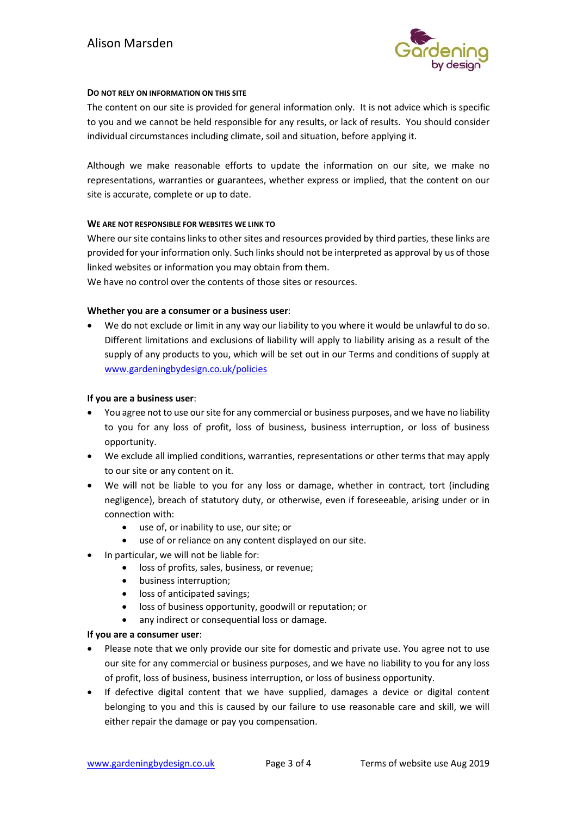

# **DO NOT RELY ON INFORMATION ON THIS SITE**

The content on our site is provided for general information only. It is not advice which is specific to you and we cannot be held responsible for any results, or lack of results. You should consider individual circumstances including climate, soil and situation, before applying it.

Although we make reasonable efforts to update the information on our site, we make no representations, warranties or guarantees, whether express or implied, that the content on our site is accurate, complete or up to date.

# **WE ARE NOT RESPONSIBLE FOR WEBSITES WE LINK TO**

Where our site contains links to other sites and resources provided by third parties, these links are provided for your information only. Such links should not be interpreted as approval by us of those linked websites or information you may obtain from them.

We have no control over the contents of those sites or resources.

# **Whether you are a consumer or a business user**:

• We do not exclude or limit in any way our liability to you where it would be unlawful to do so. Different limitations and exclusions of liability will apply to liability arising as a result of the supply of any products to you, which will be set out in our Terms and conditions of supply at [www.gardeningbydesign.co.uk/policies](http://www.gardeningbydesign.co.uk/policies)

#### **If you are a business user**:

- You agree not to use our site for any commercial or business purposes, and we have no liability to you for any loss of profit, loss of business, business interruption, or loss of business opportunity.
- We exclude all implied conditions, warranties, representations or other terms that may apply to our site or any content on it.
- We will not be liable to you for any loss or damage, whether in contract, tort (including negligence), breach of statutory duty, or otherwise, even if foreseeable, arising under or in connection with:
	- use of, or inability to use, our site; or
	- use of or reliance on any content displayed on our site.
- In particular, we will not be liable for:
	- loss of profits, sales, business, or revenue;
	- business interruption;
	- loss of anticipated savings;
	- loss of business opportunity, goodwill or reputation; or
	- any indirect or consequential loss or damage.

# **If you are a consumer user**:

- Please note that we only provide our site for domestic and private use. You agree not to use our site for any commercial or business purposes, and we have no liability to you for any loss of profit, loss of business, business interruption, or loss of business opportunity.
- If defective digital content that we have supplied, damages a device or digital content belonging to you and this is caused by our failure to use reasonable care and skill, we will either repair the damage or pay you compensation.